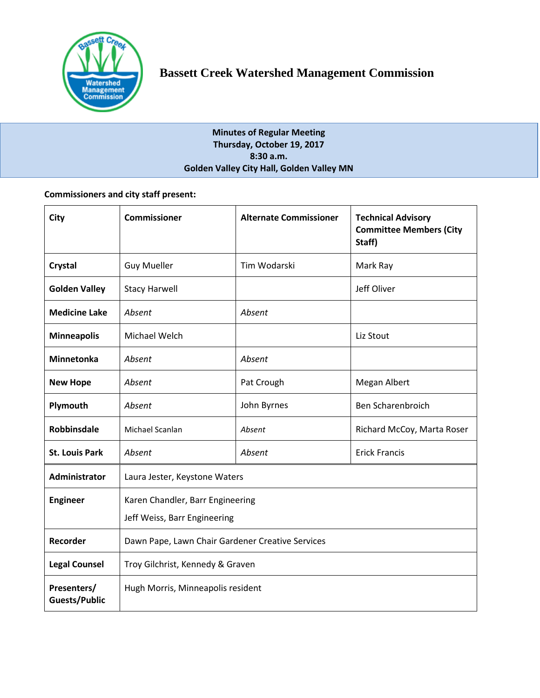

**Minutes of Regular Meeting Thursday, October 19, 2017 8:30 a.m. Golden Valley City Hall, Golden Valley MN**

# **Commissioners and city staff present:**

| City                                | <b>Commissioner</b>                                              | <b>Alternate Commissioner</b> | <b>Technical Advisory</b><br><b>Committee Members (City</b><br>Staff) |
|-------------------------------------|------------------------------------------------------------------|-------------------------------|-----------------------------------------------------------------------|
| Crystal                             | <b>Guy Mueller</b>                                               | Tim Wodarski                  | Mark Ray                                                              |
| <b>Golden Valley</b>                | <b>Stacy Harwell</b>                                             |                               | Jeff Oliver                                                           |
| <b>Medicine Lake</b>                | Absent                                                           | Absent                        |                                                                       |
| <b>Minneapolis</b>                  | Michael Welch                                                    |                               | Liz Stout                                                             |
| <b>Minnetonka</b>                   | Absent                                                           | Absent                        |                                                                       |
| <b>New Hope</b>                     | Absent                                                           | Pat Crough                    | Megan Albert                                                          |
| Plymouth                            | Absent                                                           | John Byrnes                   | Ben Scharenbroich                                                     |
| <b>Robbinsdale</b>                  | Michael Scanlan                                                  | Absent                        | Richard McCoy, Marta Roser                                            |
| <b>St. Louis Park</b>               | Absent                                                           | Absent                        | <b>Erick Francis</b>                                                  |
| <b>Administrator</b>                | Laura Jester, Keystone Waters                                    |                               |                                                                       |
| <b>Engineer</b>                     | Karen Chandler, Barr Engineering<br>Jeff Weiss, Barr Engineering |                               |                                                                       |
| Recorder                            | Dawn Pape, Lawn Chair Gardener Creative Services                 |                               |                                                                       |
| <b>Legal Counsel</b>                | Troy Gilchrist, Kennedy & Graven                                 |                               |                                                                       |
| Presenters/<br><b>Guests/Public</b> | Hugh Morris, Minneapolis resident                                |                               |                                                                       |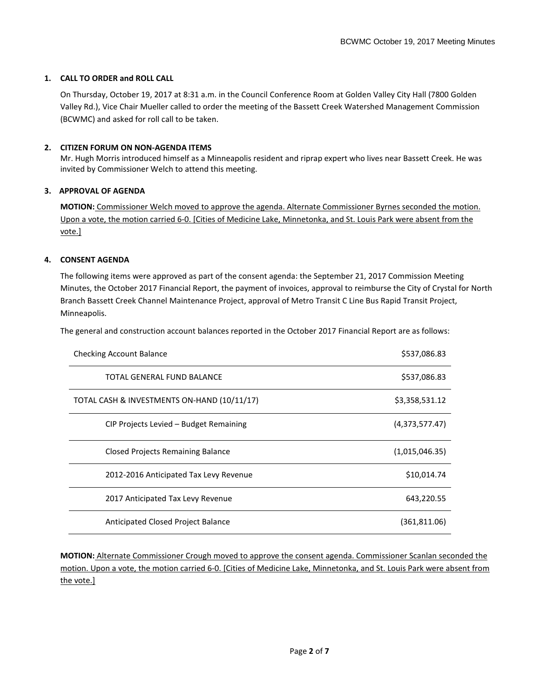### **1. CALL TO ORDER and ROLL CALL**

On Thursday, October 19, 2017 at 8:31 a.m. in the Council Conference Room at Golden Valley City Hall (7800 Golden Valley Rd.), Vice Chair Mueller called to order the meeting of the Bassett Creek Watershed Management Commission (BCWMC) and asked for roll call to be taken.

### **2. CITIZEN FORUM ON NON-AGENDA ITEMS**

Mr. Hugh Morris introduced himself as a Minneapolis resident and riprap expert who lives near Bassett Creek. He was invited by Commissioner Welch to attend this meeting.

## **3. APPROVAL OF AGENDA**

**MOTION:** Commissioner Welch moved to approve the agenda. Alternate Commissioner Byrnes seconded the motion. Upon a vote, the motion carried 6-0. [Cities of Medicine Lake, Minnetonka, and St. Louis Park were absent from the vote.]

## **4. CONSENT AGENDA**

The following items were approved as part of the consent agenda: the September 21, 2017 Commission Meeting Minutes, the October 2017 Financial Report, the payment of invoices, approval to reimburse the City of Crystal for North Branch Bassett Creek Channel Maintenance Project, approval of Metro Transit C Line Bus Rapid Transit Project, Minneapolis.

The general and construction account balances reported in the October 2017 Financial Report are as follows:

| <b>Checking Account Balance</b>             | \$537,086.83   |
|---------------------------------------------|----------------|
| TOTAL GENERAL FUND BALANCE                  | \$537,086.83   |
| TOTAL CASH & INVESTMENTS ON-HAND (10/11/17) | \$3,358,531.12 |
| CIP Projects Levied - Budget Remaining      | (4,373,577.47) |
| <b>Closed Projects Remaining Balance</b>    | (1,015,046.35) |
| 2012-2016 Anticipated Tax Levy Revenue      | \$10,014.74    |
| 2017 Anticipated Tax Levy Revenue           | 643,220.55     |
| Anticipated Closed Project Balance          | (361, 811.06)  |

**MOTION:** Alternate Commissioner Crough moved to approve the consent agenda. Commissioner Scanlan seconded the motion. Upon a vote, the motion carried 6-0. [Cities of Medicine Lake, Minnetonka, and St. Louis Park were absent from the vote.]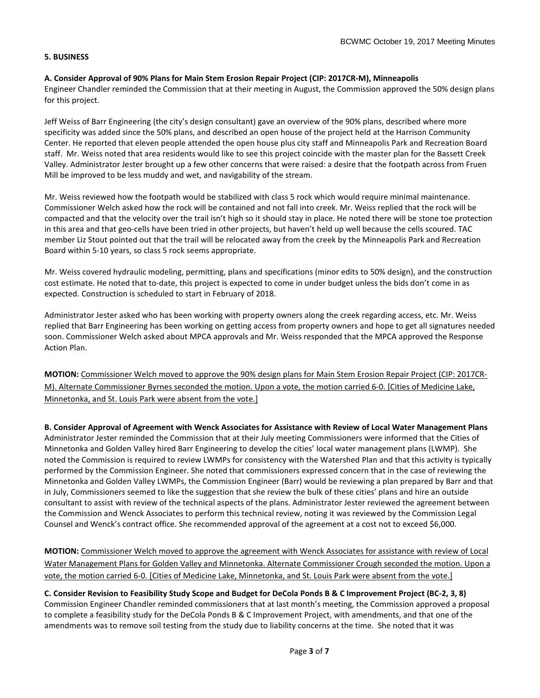### **5. BUSINESS**

## **A. Consider Approval of 90% Plans for Main Stem Erosion Repair Project (CIP: 2017CR-M), Minneapolis**

Engineer Chandler reminded the Commission that at their meeting in August, the Commission approved the 50% design plans for this project.

Jeff Weiss of Barr Engineering (the city's design consultant) gave an overview of the 90% plans, described where more specificity was added since the 50% plans, and described an open house of the project held at the Harrison Community Center. He reported that eleven people attended the open house plus city staff and Minneapolis Park and Recreation Board staff. Mr. Weiss noted that area residents would like to see this project coincide with the master plan for the Bassett Creek Valley. Administrator Jester brought up a few other concerns that were raised: a desire that the footpath across from Fruen Mill be improved to be less muddy and wet, and navigability of the stream.

Mr. Weiss reviewed how the footpath would be stabilized with class 5 rock which would require minimal maintenance. Commissioner Welch asked how the rock will be contained and not fall into creek. Mr. Weiss replied that the rock will be compacted and that the velocity over the trail isn't high so it should stay in place. He noted there will be stone toe protection in this area and that geo-cells have been tried in other projects, but haven't held up well because the cells scoured. TAC member Liz Stout pointed out that the trail will be relocated away from the creek by the Minneapolis Park and Recreation Board within 5-10 years, so class 5 rock seems appropriate.

Mr. Weiss covered hydraulic modeling, permitting, plans and specifications (minor edits to 50% design), and the construction cost estimate. He noted that to-date, this project is expected to come in under budget unless the bids don't come in as expected. Construction is scheduled to start in February of 2018.

Administrator Jester asked who has been working with property owners along the creek regarding access, etc. Mr. Weiss replied that Barr Engineering has been working on getting access from property owners and hope to get all signatures needed soon. Commissioner Welch asked about MPCA approvals and Mr. Weiss responded that the MPCA approved the Response Action Plan.

**MOTION:** Commissioner Welch moved to approve the 90% design plans for Main Stem Erosion Repair Project (CIP: 2017CR-M). Alternate Commissioner Byrnes seconded the motion. Upon a vote, the motion carried 6-0. [Cities of Medicine Lake, Minnetonka, and St. Louis Park were absent from the vote.]

**B. Consider Approval of Agreement with Wenck Associates for Assistance with Review of Local Water Management Plans**  Administrator Jester reminded the Commission that at their July meeting Commissioners were informed that the Cities of Minnetonka and Golden Valley hired Barr Engineering to develop the cities' local water management plans (LWMP). She noted the Commission is required to review LWMPs for consistency with the Watershed Plan and that this activity is typically performed by the Commission Engineer. She noted that commissioners expressed concern that in the case of reviewing the Minnetonka and Golden Valley LWMPs, the Commission Engineer (Barr) would be reviewing a plan prepared by Barr and that in July, Commissioners seemed to like the suggestion that she review the bulk of these cities' plans and hire an outside consultant to assist with review of the technical aspects of the plans. Administrator Jester reviewed the agreement between the Commission and Wenck Associates to perform this technical review, noting it was reviewed by the Commission Legal Counsel and Wenck's contract office. She recommended approval of the agreement at a cost not to exceed \$6,000.

**MOTION:** Commissioner Welch moved to approve the agreement with Wenck Associates for assistance with review of Local Water Management Plans for Golden Valley and Minnetonka. Alternate Commissioner Crough seconded the motion. Upon a vote, the motion carried 6-0. [Cities of Medicine Lake, Minnetonka, and St. Louis Park were absent from the vote.]

**C. Consider Revision to Feasibility Study Scope and Budget for DeCola Ponds B & C Improvement Project (BC-2, 3, 8)**  Commission Engineer Chandler reminded commissioners that at last month's meeting, the Commission approved a proposal to complete a feasibility study for the DeCola Ponds B & C Improvement Project, with amendments, and that one of the amendments was to remove soil testing from the study due to liability concerns at the time. She noted that it was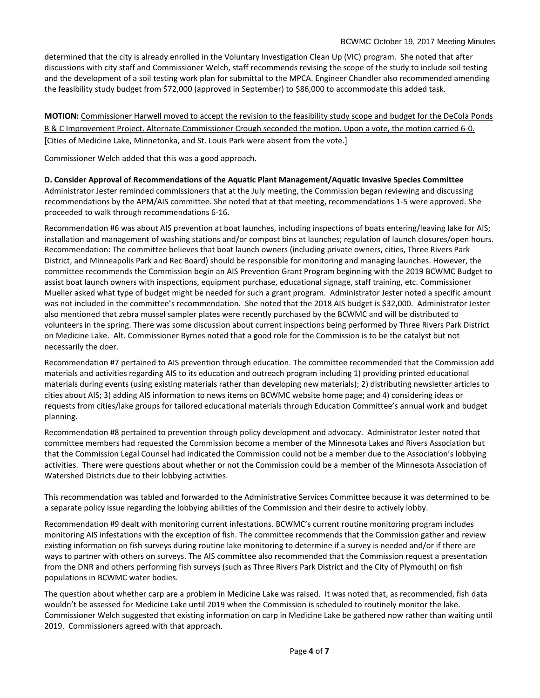determined that the city is already enrolled in the Voluntary Investigation Clean Up (VIC) program. She noted that after discussions with city staff and Commissioner Welch, staff recommends revising the scope of the study to include soil testing and the development of a soil testing work plan for submittal to the MPCA. Engineer Chandler also recommended amending the feasibility study budget from \$72,000 (approved in September) to \$86,000 to accommodate this added task.

**MOTION:** Commissioner Harwell moved to accept the revision to the feasibility study scope and budget for the DeCola Ponds B & C Improvement Project. Alternate Commissioner Crough seconded the motion. Upon a vote, the motion carried 6-0. [Cities of Medicine Lake, Minnetonka, and St. Louis Park were absent from the vote.]

Commissioner Welch added that this was a good approach.

**D. Consider Approval of Recommendations of the Aquatic Plant Management/Aquatic Invasive Species Committee**  Administrator Jester reminded commissioners that at the July meeting, the Commission began reviewing and discussing recommendations by the APM/AIS committee. She noted that at that meeting, recommendations 1-5 were approved. She proceeded to walk through recommendations 6-16.

Recommendation #6 was about AIS prevention at boat launches, including inspections of boats entering/leaving lake for AIS; installation and management of washing stations and/or compost bins at launches; regulation of launch closures/open hours. Recommendation: The committee believes that boat launch owners (including private owners, cities, Three Rivers Park District, and Minneapolis Park and Rec Board) should be responsible for monitoring and managing launches. However, the committee recommends the Commission begin an AIS Prevention Grant Program beginning with the 2019 BCWMC Budget to assist boat launch owners with inspections, equipment purchase, educational signage, staff training, etc. Commissioner Mueller asked what type of budget might be needed for such a grant program. Administrator Jester noted a specific amount was not included in the committee's recommendation. She noted that the 2018 AIS budget is \$32,000. Administrator Jester also mentioned that zebra mussel sampler plates were recently purchased by the BCWMC and will be distributed to volunteers in the spring. There was some discussion about current inspections being performed by Three Rivers Park District on Medicine Lake. Alt. Commissioner Byrnes noted that a good role for the Commission is to be the catalyst but not necessarily the doer.

Recommendation #7 pertained to AIS prevention through education. The committee recommended that the Commission add materials and activities regarding AIS to its education and outreach program including 1) providing printed educational materials during events (using existing materials rather than developing new materials); 2) distributing newsletter articles to cities about AIS; 3) adding AIS information to news items on BCWMC website home page; and 4) considering ideas or requests from cities/lake groups for tailored educational materials through Education Committee's annual work and budget planning.

Recommendation #8 pertained to prevention through policy development and advocacy. Administrator Jester noted that committee members had requested the Commission become a member of the Minnesota Lakes and Rivers Association but that the Commission Legal Counsel had indicated the Commission could not be a member due to the Association's lobbying activities. There were questions about whether or not the Commission could be a member of the Minnesota Association of Watershed Districts due to their lobbying activities.

This recommendation was tabled and forwarded to the Administrative Services Committee because it was determined to be a separate policy issue regarding the lobbying abilities of the Commission and their desire to actively lobby.

Recommendation #9 dealt with monitoring current infestations. BCWMC's current routine monitoring program includes monitoring AIS infestations with the exception of fish. The committee recommends that the Commission gather and review existing information on fish surveys during routine lake monitoring to determine if a survey is needed and/or if there are ways to partner with others on surveys. The AIS committee also recommended that the Commission request a presentation from the DNR and others performing fish surveys (such as Three Rivers Park District and the City of Plymouth) on fish populations in BCWMC water bodies.

The question about whether carp are a problem in Medicine Lake was raised. It was noted that, as recommended, fish data wouldn't be assessed for Medicine Lake until 2019 when the Commission is scheduled to routinely monitor the lake. Commissioner Welch suggested that existing information on carp in Medicine Lake be gathered now rather than waiting until 2019. Commissioners agreed with that approach.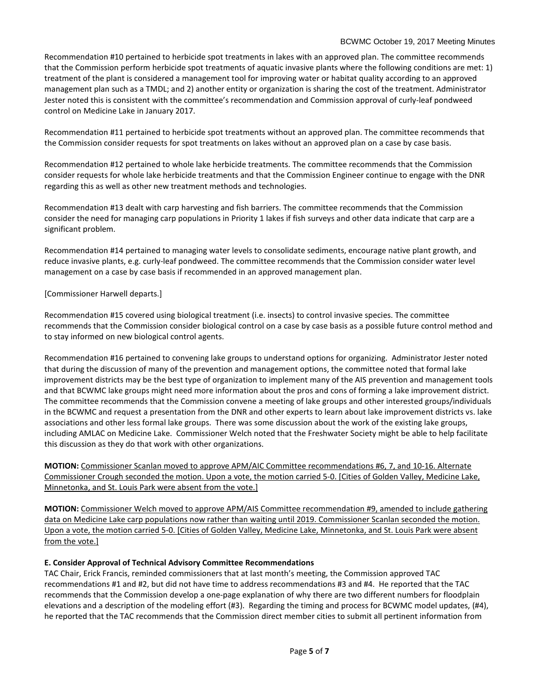#### BCWMC October 19, 2017 Meeting Minutes

Recommendation #10 pertained to herbicide spot treatments in lakes with an approved plan. The committee recommends that the Commission perform herbicide spot treatments of aquatic invasive plants where the following conditions are met: 1) treatment of the plant is considered a management tool for improving water or habitat quality according to an approved management plan such as a TMDL; and 2) another entity or organization is sharing the cost of the treatment. Administrator Jester noted this is consistent with the committee's recommendation and Commission approval of curly-leaf pondweed control on Medicine Lake in January 2017.

Recommendation #11 pertained to herbicide spot treatments without an approved plan. The committee recommends that the Commission consider requests for spot treatments on lakes without an approved plan on a case by case basis.

Recommendation #12 pertained to whole lake herbicide treatments. The committee recommends that the Commission consider requests for whole lake herbicide treatments and that the Commission Engineer continue to engage with the DNR regarding this as well as other new treatment methods and technologies.

Recommendation #13 dealt with carp harvesting and fish barriers. The committee recommends that the Commission consider the need for managing carp populations in Priority 1 lakes if fish surveys and other data indicate that carp are a significant problem.

Recommendation #14 pertained to managing water levels to consolidate sediments, encourage native plant growth, and reduce invasive plants, e.g. curly-leaf pondweed. The committee recommends that the Commission consider water level management on a case by case basis if recommended in an approved management plan.

## [Commissioner Harwell departs.]

Recommendation #15 covered using biological treatment (i.e. insects) to control invasive species. The committee recommends that the Commission consider biological control on a case by case basis as a possible future control method and to stay informed on new biological control agents.

Recommendation #16 pertained to convening lake groups to understand options for organizing. Administrator Jester noted that during the discussion of many of the prevention and management options, the committee noted that formal lake improvement districts may be the best type of organization to implement many of the AIS prevention and management tools and that BCWMC lake groups might need more information about the pros and cons of forming a lake improvement district. The committee recommends that the Commission convene a meeting of lake groups and other interested groups/individuals in the BCWMC and request a presentation from the DNR and other experts to learn about lake improvement districts vs. lake associations and other less formal lake groups. There was some discussion about the work of the existing lake groups, including AMLAC on Medicine Lake. Commissioner Welch noted that the Freshwater Society might be able to help facilitate this discussion as they do that work with other organizations.

**MOTION:** Commissioner Scanlan moved to approve APM/AIC Committee recommendations #6, 7, and 10-16. Alternate Commissioner Crough seconded the motion. Upon a vote, the motion carried 5-0. [Cities of Golden Valley, Medicine Lake, Minnetonka, and St. Louis Park were absent from the vote.]

**MOTION:** Commissioner Welch moved to approve APM/AIS Committee recommendation #9, amended to include gathering data on Medicine Lake carp populations now rather than waiting until 2019. Commissioner Scanlan seconded the motion. Upon a vote, the motion carried 5-0. [Cities of Golden Valley, Medicine Lake, Minnetonka, and St. Louis Park were absent from the vote.]

# **E. Consider Approval of Technical Advisory Committee Recommendations**

TAC Chair, Erick Francis, reminded commissioners that at last month's meeting, the Commission approved TAC recommendations #1 and #2, but did not have time to address recommendations #3 and #4. He reported that the TAC recommends that the Commission develop a one-page explanation of why there are two different numbers for floodplain elevations and a description of the modeling effort (#3). Regarding the timing and process for BCWMC model updates, (#4), he reported that the TAC recommends that the Commission direct member cities to submit all pertinent information from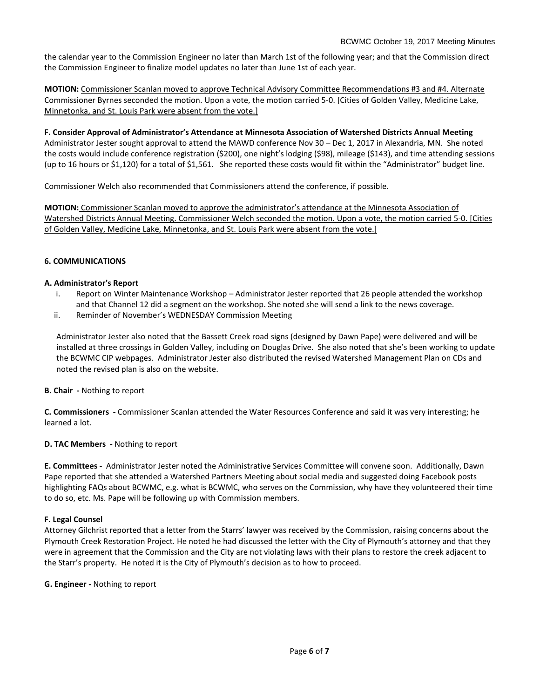the calendar year to the Commission Engineer no later than March 1st of the following year; and that the Commission direct the Commission Engineer to finalize model updates no later than June 1st of each year.

**MOTION:** Commissioner Scanlan moved to approve Technical Advisory Committee Recommendations #3 and #4. Alternate Commissioner Byrnes seconded the motion. Upon a vote, the motion carried 5-0. [Cities of Golden Valley, Medicine Lake, Minnetonka, and St. Louis Park were absent from the vote.]

**F. Consider Approval of Administrator's Attendance at Minnesota Association of Watershed Districts Annual Meeting** Administrator Jester sought approval to attend the MAWD conference Nov 30 – Dec 1, 2017 in Alexandria, MN. She noted the costs would include conference registration (\$200), one night's lodging (\$98), mileage (\$143), and time attending sessions (up to 16 hours or \$1,120) for a total of \$1,561. She reported these costs would fit within the "Administrator" budget line.

Commissioner Welch also recommended that Commissioners attend the conference, if possible.

**MOTION:** Commissioner Scanlan moved to approve the administrator's attendance at the Minnesota Association of Watershed Districts Annual Meeting. Commissioner Welch seconded the motion. Upon a vote, the motion carried 5-0. [Cities of Golden Valley, Medicine Lake, Minnetonka, and St. Louis Park were absent from the vote.]

## **6. COMMUNICATIONS**

### **A. Administrator's Report**

- i. Report on Winter Maintenance Workshop Administrator Jester reported that 26 people attended the workshop and that Channel 12 did a segment on the workshop. She noted she will send a link to the news coverage.
- ii. Reminder of November's WEDNESDAY Commission Meeting

Administrator Jester also noted that the Bassett Creek road signs (designed by Dawn Pape) were delivered and will be installed at three crossings in Golden Valley, including on Douglas Drive. She also noted that she's been working to update the BCWMC CIP webpages. Administrator Jester also distributed the revised Watershed Management Plan on CDs and noted the revised plan is also on the website.

**B. Chair -** Nothing to report

**C. Commissioners -** Commissioner Scanlan attended the Water Resources Conference and said it was very interesting; he learned a lot.

### **D. TAC Members -** Nothing to report

**E. Committees -** Administrator Jester noted the Administrative Services Committee will convene soon. Additionally, Dawn Pape reported that she attended a Watershed Partners Meeting about social media and suggested doing Facebook posts highlighting FAQs about BCWMC, e.g. what is BCWMC, who serves on the Commission, why have they volunteered their time to do so, etc. Ms. Pape will be following up with Commission members.

### **F. Legal Counsel**

Attorney Gilchrist reported that a letter from the Starrs' lawyer was received by the Commission, raising concerns about the Plymouth Creek Restoration Project. He noted he had discussed the letter with the City of Plymouth's attorney and that they were in agreement that the Commission and the City are not violating laws with their plans to restore the creek adjacent to the Starr's property. He noted it is the City of Plymouth's decision as to how to proceed.

#### **G. Engineer -** Nothing to report